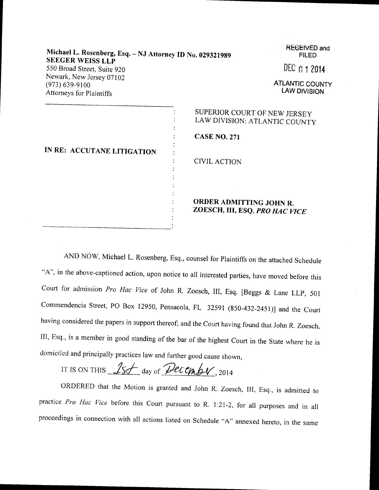| Michael L. Rosenberg, Esq. - NJ Attorney ID No. 029321989<br><b>SEEGER WEISS LLP</b> | <b>RECEIVED and</b><br><b>FILED</b>                           |
|--------------------------------------------------------------------------------------|---------------------------------------------------------------|
| 550 Broad Street, Suite 920                                                          | DEC 0 1 2014                                                  |
| Newark, New Jersey 07102<br>$(973) 639 - 9100$<br>Attorneys for Plaintiffs           | <b>ATLANTIC COUNTY</b><br><b>LAW DIVISION</b>                 |
|                                                                                      | SUPERIOR COURT OF NEW JERSEY<br>LAW DIVISION: ATLANTIC COUNTY |
|                                                                                      | <b>CASE NO. 271</b>                                           |
| IN RE: ACCUTANE LITIGATION                                                           |                                                               |
|                                                                                      | <b>CIVIL ACTION</b>                                           |
|                                                                                      |                                                               |
|                                                                                      | ORDER ADMITTING JOHN R.<br>ZOESCH, III, ESQ. PRO HAC VICE     |
|                                                                                      |                                                               |

AND NoW, Michael L. Rosenberg, Esq., counsel for Plaintiffs on the attached Schedule "A", in the above-captioned action, upon notice to all interested parties, have moved before this Court for admission Pro Hac Vice of John R. Zoesch, III, Esq. [Beggs & Lane LLP, 501 Commendencia Street, PO Box 12950, Pensacola, FL 32591 (850-432-2451)] and the Court having considered the papers in support thereof; and the Court having found that John R. Zoesch, III, Esq., is a member in good standing of the bar of the highest Court in the State where he is domiciled and principally practices law and further good cause shown,

IT IS ON THIS  $15f$  day of Pecember, 2014

ORDERED that the Motion is granted and John R. Zoesch, III, Esq., is admitted to practice Pro Hac Vice before this Court pursuant to R. 1:21-2, for all purposes and in all proceedings in connection with all actions listed on Schedule "A" annexed hereto, in the same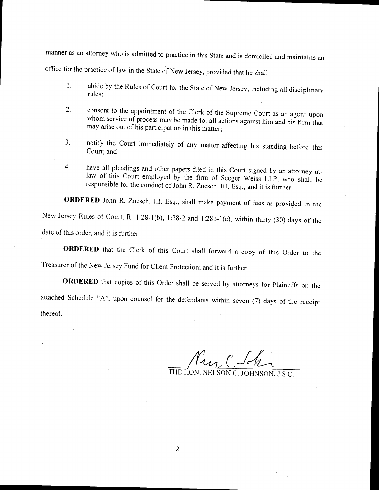manner as an attorney who is admitted to practice in this state and is domiciled and maintains an office for the practice of law in the State of New Jersey, provided that he shall:

- 1. abide by the Rules of Court for the State of New Jersey, including all disciplinary rules;
- 2. consent to the appointment of the Clerk of the Supreme Court as an agent upon whom service of process may be made for all actions against him and his firm that may arise out of his participation in this matter;
- 3. notify the Court immediately of any matter affecting his standing before this Court; and
- 4. have all pleadings and other papers filed in this Court signed by an attorney-at-<br>law of this Court employed by the firm of Seeger Weiss LLP, who shall be<br>responsible for the conduct of John R. Zoesch, III, Esq., and it law of this Court employed by the firm of Seeger Weiss LLP, who shall be

ORDERED John R. Zoesch, III, Esq., shall make payment of fees as provided in the New Jersey Rules of Court, R. l;28-l(b), l:28-2 and 1:28b-l(e), within thirty (30) days of the date of this order, and it is further

oRDERED that the Clerk of this Court shall forward a copy of this order to the Treasurer of the New Jersey Fund for client protection; and it is further

ORDERED that copies of this Order shall be served by attorneys for Plaintiffs on the attached Schedule "A", upon counsel for the defendants within seven (7) days of the receipt thereof.

 $\frac{\gamma_{\mathcal{U}_{\mathcal{U}}}}{\gamma_{\mathcal{U}_{\mathcal{U}}}}$ C Johnson J.S.C.